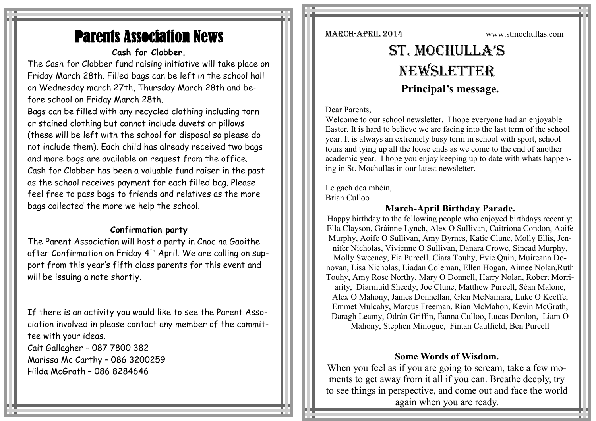# Parents Association News

# **Cash for Clobber.**

The Cash for Clobber fund raising initiative will take place on Friday March 28th. Filled bags can be left in the school hall on Wednesday march 27th, Thursday March 28th and before school on Friday March 28th.

Bags can be filled with any recycled clothing including torn or stained clothing but cannot include duvets or pillows (these will be left with the school for disposal so please do not include them). Each child has already received two bags and more bags are available on request from the office. Cash for Clobber has been a valuable fund raiser in the past as the school receives payment for each filled bag. Please feel free to pass bags to friends and relatives as the more bags collected the more we help the school.

# **Confirmation party**

The Parent Association will host a party in Cnoc na Gaoithe after Confirmation on Friday  $4<sup>th</sup>$  April. We are calling on support from this year's fifth class parents for this event and will be issuing a note shortly.

If there is an activity you would like to see the Parent Association involved in please contact any member of the committee with your ideas.

Cait Gallagher – 087 7800 382 Marissa Mc Carthy – 086 3200259 Hilda McGrath – 086 8284646

#### March-April 2014 www.stmochullas.com

# St. Mochulla'S **NEWSLETTER Principal's message.**

## Dear Parents,

Welcome to our school newsletter. I hope everyone had an enjoyable Easter. It is hard to believe we are facing into the last term of the school year. It is always an extremely busy term in school with sport, school tours and tying up all the loose ends as we come to the end of another academic year. I hope you enjoy keeping up to date with whats happening in St. Mochullas in our latest newsletter.

Le gach dea mhéin, Brian Culloo

# **March-April Birthday Parade.**

Happy birthday to the following people who enjoyed birthdays recently: Ella Clayson, Gráinne Lynch, Alex O Sullivan, Caitríona Condon, Aoife Murphy, Aoife O Sullivan, Amy Byrnes, Katie Clune, Molly Ellis, Jennifer Nicholas, Vivienne O Sullivan, Danara Crowe, Sinead Murphy, Molly Sweeney, Fia Purcell, Ciara Touhy, Evie Quin, Muireann Donovan, Lisa Nicholas, Liadan Coleman, Ellen Hogan, Aimee Nolan,Ruth Touhy, Amy Rose Northy, Mary O Donnell, Harry Nolan, Robert Morriarity, Diarmuid Sheedy, Joe Clune, Matthew Purcell, Séan Malone, Alex O Mahony, James Donnellan, Glen McNamara, Luke O Keeffe, Emmet Mulcahy, Marcus Freeman, Rían McMahon, Kevin McGrath, Daragh Leamy, Odrán Griffin, Éanna Culloo, Lucas Donlon, Liam O Mahony, Stephen Minogue, Fintan Caulfield, Ben Purcell

# **Some Words of Wisdom.**

When you feel as if you are going to scream, take a few moments to get away from it all if you can. Breathe deeply, try to see things in perspective, and come out and face the world again when you are ready.